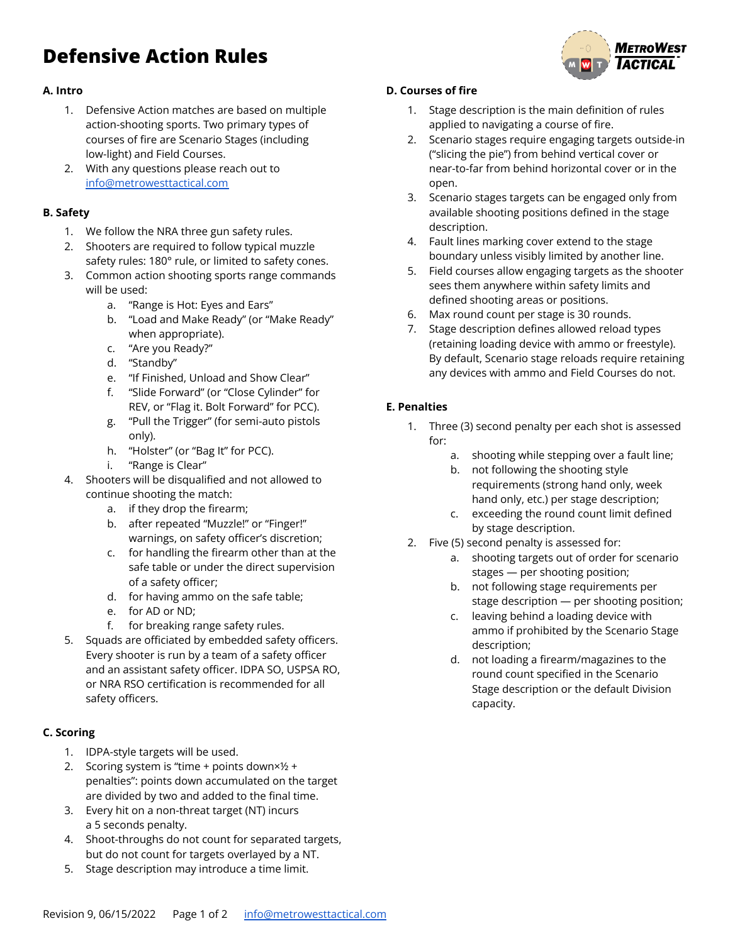# **Defensive Action Rules**



## **A. Intro**

- 1. Defensive Action matches are based on multiple action-shooting sports. Two primary types of courses of fire are Scenario Stages (including low-light) and Field Courses.
- 2. With any questions please reach out to [info@metrowesttactical.com](mailto:info@metrowesttactical.com)

## **B. Safety**

- 1. We follow the NRA three gun safety rules.
- 2. Shooters are required to follow typical muzzle safety rules: 180° rule, or limited to safety cones.
- 3. Common action shooting sports range commands will be used:
	- a. "Range is Hot: Eyes and Ears"
	- b. "Load and Make Ready" (or "Make Ready" when appropriate).
	- c. "Are you Ready?"
	- d. "Standby"
	- e. "If Finished, Unload and Show Clear"
	- f. "Slide Forward" (or "Close Cylinder" for REV, or "Flag it. Bolt Forward" for PCC).
	- g. "Pull the Trigger" (for semi-auto pistols only).
	- h. "Holster" (or "Bag It" for PCC).
	- i. "Range is Clear"
- 4. Shooters will be disqualified and not allowed to continue shooting the match:
	- a. if they drop the firearm;
	- b. after repeated "Muzzle!" or "Finger!" warnings, on safety officer's discretion;
	- c. for handling the firearm other than at the safe table or under the direct supervision of a safety officer;
	- d. for having ammo on the safe table;
	- e. for AD or ND;
	- f. for breaking range safety rules.
- 5. Squads are officiated by embedded safety officers. Every shooter is run by a team of a safety officer and an assistant safety officer. IDPA SO, USPSA RO, or NRA RSO certification is recommended for all safety officers.

# **C. Scoring**

- 1. IDPA-style targets will be used.
- 2. Scoring system is "time + points down×½ + penalties": points down accumulated on the target are divided by two and added to the final time.
- 3. Every hit on a non-threat target (NT) incurs a 5 seconds penalty.
- 4. Shoot-throughs do not count for separated targets, but do not count for targets overlayed by a NT.
- 5. Stage description may introduce a time limit.

### **D. Courses of fire**

- 1. Stage description is the main definition of rules applied to navigating a course of fire.
- 2. Scenario stages require engaging targets outside-in ("slicing the pie") from behind vertical cover or near-to-far from behind horizontal cover or in the open.
- 3. Scenario stages targets can be engaged only from available shooting positions defined in the stage description.
- 4. Fault lines marking cover extend to the stage boundary unless visibly limited by another line.
- 5. Field courses allow engaging targets as the shooter sees them anywhere within safety limits and defined shooting areas or positions.
- 6. Max round count per stage is 30 rounds.
- 7. Stage description defines allowed reload types (retaining loading device with ammo or freestyle). By default, Scenario stage reloads require retaining any devices with ammo and Field Courses do not.

# **E. Penalties**

- 1. Three (3) second penalty per each shot is assessed for:
	- a. shooting while stepping over a fault line;
	- b. not following the shooting style requirements (strong hand only, week hand only, etc.) per stage description;
	- c. exceeding the round count limit defined by stage description.
- 2. Five (5) second penalty is assessed for:
	- a. shooting targets out of order for scenario stages — per shooting position;
	- b. not following stage requirements per stage description — per shooting position;
	- c. leaving behind a loading device with ammo if prohibited by the Scenario Stage description;
	- d. not loading a firearm/magazines to the round count specified in the Scenario Stage description or the default Division capacity.